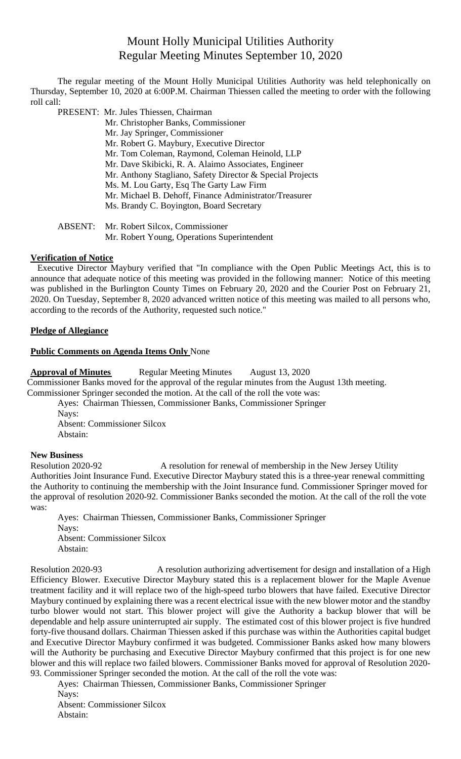# Mount Holly Municipal Utilities Authority Regular Meeting Minutes September 10, 2020

The regular meeting of the Mount Holly Municipal Utilities Authority was held telephonically on Thursday, September 10, 2020 at 6:00P.M. Chairman Thiessen called the meeting to order with the following roll call:

PRESENT: Mr. Jules Thiessen, Chairman

- Mr. Christopher Banks, Commissioner
- Mr. Jay Springer, Commissioner
- Mr. Robert G. Maybury, Executive Director
- Mr. Tom Coleman, Raymond, Coleman Heinold, LLP
- Mr. Dave Skibicki, R. A. Alaimo Associates, Engineer
- Mr. Anthony Stagliano, Safety Director & Special Projects
- Ms. M. Lou Garty, Esq The Garty Law Firm
- Mr. Michael B. Dehoff, Finance Administrator/Treasurer
- Ms. Brandy C. Boyington, Board Secretary
- ABSENT: Mr. Robert Silcox, Commissioner Mr. Robert Young, Operations Superintendent

## **Verification of Notice**

Executive Director Maybury verified that "In compliance with the Open Public Meetings Act, this is to announce that adequate notice of this meeting was provided in the following manner: Notice of this meeting was published in the Burlington County Times on February 20, 2020 and the Courier Post on February 21, 2020. On Tuesday, September 8, 2020 advanced written notice of this meeting was mailed to all persons who, according to the records of the Authority, requested such notice."

# **Pledge of Allegiance**

## **Public Comments on Agenda Items Only** None

**Approval of Minutes** Regular Meeting Minutes August 13, 2020 Commissioner Banks moved for the approval of the regular minutes from the August 13th meeting. Commissioner Springer seconded the motion. At the call of the roll the vote was:

- Ayes: Chairman Thiessen, Commissioner Banks, Commissioner Springer
	- Nays:

Absent: Commissioner Silcox Abstain:

## **New Business**

Resolution 2020-92 A resolution for renewal of membership in the New Jersey Utility Authorities Joint Insurance Fund. Executive Director Maybury stated this is a three-year renewal committing the Authority to continuing the membership with the Joint Insurance fund. Commissioner Springer moved for the approval of resolution 2020-92. Commissioner Banks seconded the motion. At the call of the roll the vote was:

Ayes: Chairman Thiessen, Commissioner Banks, Commissioner Springer Nays: Absent: Commissioner Silcox Abstain:

Resolution 2020-93 A resolution authorizing advertisement for design and installation of a High Efficiency Blower. Executive Director Maybury stated this is a replacement blower for the Maple Avenue treatment facility and it will replace two of the high-speed turbo blowers that have failed. Executive Director Maybury continued by explaining there was a recent electrical issue with the new blower motor and the standby turbo blower would not start. This blower project will give the Authority a backup blower that will be dependable and help assure uninterrupted air supply. The estimated cost of this blower project is five hundred forty-five thousand dollars. Chairman Thiessen asked if this purchase was within the Authorities capital budget and Executive Director Maybury confirmed it was budgeted. Commissioner Banks asked how many blowers will the Authority be purchasing and Executive Director Maybury confirmed that this project is for one new blower and this will replace two failed blowers. Commissioner Banks moved for approval of Resolution 2020- 93. Commissioner Springer seconded the motion. At the call of the roll the vote was:

Ayes: Chairman Thiessen, Commissioner Banks, Commissioner Springer Nays:

Absent: Commissioner Silcox Abstain: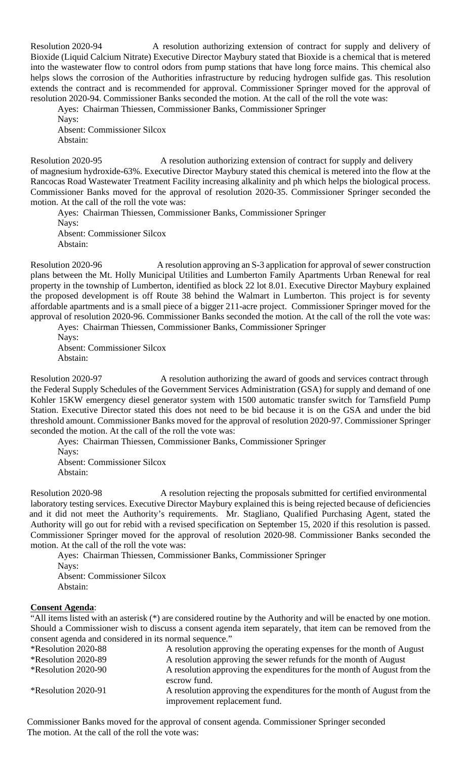Resolution 2020-94 A resolution authorizing extension of contract for supply and delivery of Bioxide (Liquid Calcium Nitrate) Executive Director Maybury stated that Bioxide is a chemical that is metered into the wastewater flow to control odors from pump stations that have long force mains. This chemical also helps slows the corrosion of the Authorities infrastructure by reducing hydrogen sulfide gas. This resolution extends the contract and is recommended for approval. Commissioner Springer moved for the approval of resolution 2020-94. Commissioner Banks seconded the motion. At the call of the roll the vote was:

Ayes: Chairman Thiessen, Commissioner Banks, Commissioner Springer Nays: Absent: Commissioner Silcox

Abstain:

Resolution 2020-95 A resolution authorizing extension of contract for supply and delivery of magnesium hydroxide-63%. Executive Director Maybury stated this chemical is metered into the flow at the Rancocas Road Wastewater Treatment Facility increasing alkalinity and ph which helps the biological process. Commissioner Banks moved for the approval of resolution 2020-35. Commissioner Springer seconded the motion. At the call of the roll the vote was:

Ayes: Chairman Thiessen, Commissioner Banks, Commissioner Springer Navs: Absent: Commissioner Silcox Abstain:

Resolution 2020-96 A resolution approving an S-3 application for approval of sewer construction plans between the Mt. Holly Municipal Utilities and Lumberton Family Apartments Urban Renewal for real property in the township of Lumberton, identified as block 22 lot 8.01. Executive Director Maybury explained the proposed development is off Route 38 behind the Walmart in Lumberton. This project is for seventy affordable apartments and is a small piece of a bigger 211-acre project. Commissioner Springer moved for the approval of resolution 2020-96. Commissioner Banks seconded the motion. At the call of the roll the vote was: Ayes: Chairman Thiessen, Commissioner Banks, Commissioner Springer

Navs: Absent: Commissioner Silcox Abstain:

Resolution 2020-97 A resolution authorizing the award of goods and services contract through the Federal Supply Schedules of the Government Services Administration (GSA) for supply and demand of one Kohler 15KW emergency diesel generator system with 1500 automatic transfer switch for Tarnsfield Pump Station. Executive Director stated this does not need to be bid because it is on the GSA and under the bid threshold amount. Commissioner Banks moved for the approval of resolution 2020-97. Commissioner Springer seconded the motion. At the call of the roll the vote was:

Ayes: Chairman Thiessen, Commissioner Banks, Commissioner Springer Nays: Absent: Commissioner Silcox Abstain:

Resolution 2020-98 A resolution rejecting the proposals submitted for certified environmental laboratory testing services. Executive Director Maybury explained this is being rejected because of deficiencies and it did not meet the Authority's requirements. Mr. Stagliano, Qualified Purchasing Agent, stated the Authority will go out for rebid with a revised specification on September 15, 2020 if this resolution is passed. Commissioner Springer moved for the approval of resolution 2020-98. Commissioner Banks seconded the motion. At the call of the roll the vote was:

Ayes: Chairman Thiessen, Commissioner Banks, Commissioner Springer Nays: Absent: Commissioner Silcox Abstain:

## **Consent Agenda**:

"All items listed with an asterisk (\*) are considered routine by the Authority and will be enacted by one motion. Should a Commissioner wish to discuss a consent agenda item separately, that item can be removed from the consent agenda and considered in its normal sequence."

| *Resolution 2020-88 | A resolution approving the operating expenses for the month of August                                     |
|---------------------|-----------------------------------------------------------------------------------------------------------|
| *Resolution 2020-89 | A resolution approving the sewer refunds for the month of August                                          |
| *Resolution 2020-90 | A resolution approving the expenditures for the month of August from the<br>escrow fund.                  |
| *Resolution 2020-91 | A resolution approving the expenditures for the month of August from the<br>improvement replacement fund. |

Commissioner Banks moved for the approval of consent agenda. Commissioner Springer seconded The motion. At the call of the roll the vote was: